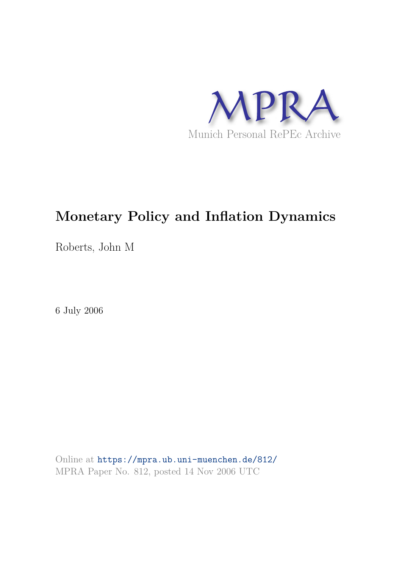

## **Monetary Policy and Inflation Dynamics**

Roberts, John M

6 July 2006

Online at https://mpra.ub.uni-muenchen.de/812/ MPRA Paper No. 812, posted 14 Nov 2006 UTC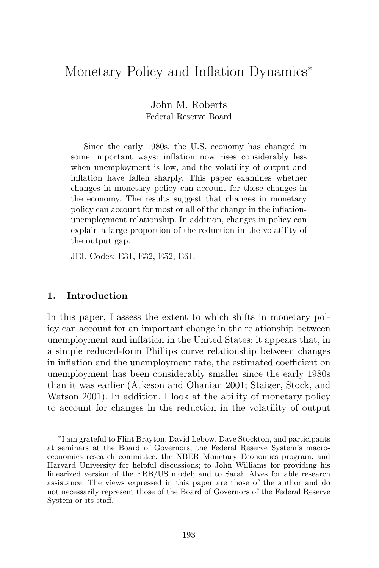## Monetary Policy and Inflation Dynamics<sup>∗</sup>

John M. Roberts Federal Reserve Board

Since the early 1980s, the U.S. economy has changed in some important ways: inflation now rises considerably less when unemployment is low, and the volatility of output and inflation have fallen sharply. This paper examines whether changes in monetary policy can account for these changes in the economy. The results suggest that changes in monetary policy can account for most or all of the change in the inflationunemployment relationship. In addition, changes in policy can explain a large proportion of the reduction in the volatility of the output gap.

JEL Codes: E31, E32, E52, E61.

#### 1. Introduction

In this paper, I assess the extent to which shifts in monetary policy can account for an important change in the relationship between unemployment and inflation in the United States: it appears that, in a simple reduced-form Phillips curve relationship between changes in inflation and the unemployment rate, the estimated coefficient on unemployment has been considerably smaller since the early 1980s than it was earlier (Atkeson and Ohanian 2001; Staiger, Stock, and Watson 2001). In addition, I look at the ability of monetary policy to account for changes in the reduction in the volatility of output

<sup>∗</sup> I am grateful to Flint Brayton, David Lebow, Dave Stockton, and participants at seminars at the Board of Governors, the Federal Reserve System's macroeconomics research committee, the NBER Monetary Economics program, and Harvard University for helpful discussions; to John Williams for providing his linearized version of the FRB/US model; and to Sarah Alves for able research assistance. The views expressed in this paper are those of the author and do not necessarily represent those of the Board of Governors of the Federal Reserve System or its staff.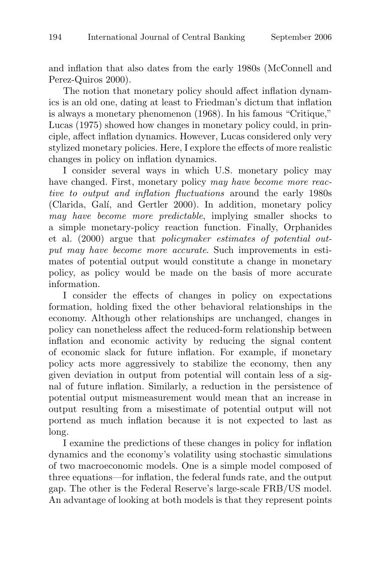and inflation that also dates from the early 1980s (McConnell and Perez-Quiros 2000).

The notion that monetary policy should affect inflation dynamics is an old one, dating at least to Friedman's dictum that inflation is always a monetary phenomenon (1968). In his famous "Critique," Lucas (1975) showed how changes in monetary policy could, in principle, affect inflation dynamics. However, Lucas considered only very stylized monetary policies. Here, I explore the effects of more realistic changes in policy on inflation dynamics.

I consider several ways in which U.S. monetary policy may have changed. First, monetary policy may have become more reactive to output and inflation fluctuations around the early 1980s (Clarida, Galí, and Gertler 2000). In addition, monetary policy may have become more predictable, implying smaller shocks to a simple monetary-policy reaction function. Finally, Orphanides et al. (2000) argue that policymaker estimates of potential output may have become more accurate. Such improvements in estimates of potential output would constitute a change in monetary policy, as policy would be made on the basis of more accurate information.

I consider the effects of changes in policy on expectations formation, holding fixed the other behavioral relationships in the economy. Although other relationships are unchanged, changes in policy can nonetheless affect the reduced-form relationship between inflation and economic activity by reducing the signal content of economic slack for future inflation. For example, if monetary policy acts more aggressively to stabilize the economy, then any given deviation in output from potential will contain less of a signal of future inflation. Similarly, a reduction in the persistence of potential output mismeasurement would mean that an increase in output resulting from a misestimate of potential output will not portend as much inflation because it is not expected to last as long.

I examine the predictions of these changes in policy for inflation dynamics and the economy's volatility using stochastic simulations of two macroeconomic models. One is a simple model composed of three equations—for inflation, the federal funds rate, and the output gap. The other is the Federal Reserve's large-scale FRB/US model. An advantage of looking at both models is that they represent points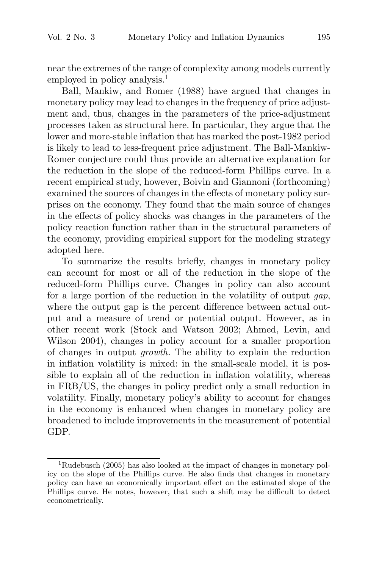near the extremes of the range of complexity among models currently employed in policy analysis.<sup>1</sup>

Ball, Mankiw, and Romer (1988) have argued that changes in monetary policy may lead to changes in the frequency of price adjustment and, thus, changes in the parameters of the price-adjustment processes taken as structural here. In particular, they argue that the lower and more-stable inflation that has marked the post-1982 period is likely to lead to less-frequent price adjustment. The Ball-Mankiw-Romer conjecture could thus provide an alternative explanation for the reduction in the slope of the reduced-form Phillips curve. In a recent empirical study, however, Boivin and Giannoni (forthcoming) examined the sources of changes in the effects of monetary policy surprises on the economy. They found that the main source of changes in the effects of policy shocks was changes in the parameters of the policy reaction function rather than in the structural parameters of the economy, providing empirical support for the modeling strategy adopted here.

To summarize the results briefly, changes in monetary policy can account for most or all of the reduction in the slope of the reduced-form Phillips curve. Changes in policy can also account for a large portion of the reduction in the volatility of output gap, where the output gap is the percent difference between actual output and a measure of trend or potential output. However, as in other recent work (Stock and Watson 2002; Ahmed, Levin, and Wilson 2004), changes in policy account for a smaller proportion of changes in output growth. The ability to explain the reduction in inflation volatility is mixed: in the small-scale model, it is possible to explain all of the reduction in inflation volatility, whereas in FRB/US, the changes in policy predict only a small reduction in volatility. Finally, monetary policy's ability to account for changes in the economy is enhanced when changes in monetary policy are broadened to include improvements in the measurement of potential GDP.

<sup>&</sup>lt;sup>1</sup>Rudebusch (2005) has also looked at the impact of changes in monetary policy on the slope of the Phillips curve. He also finds that changes in monetary policy can have an economically important effect on the estimated slope of the Phillips curve. He notes, however, that such a shift may be difficult to detect econometrically.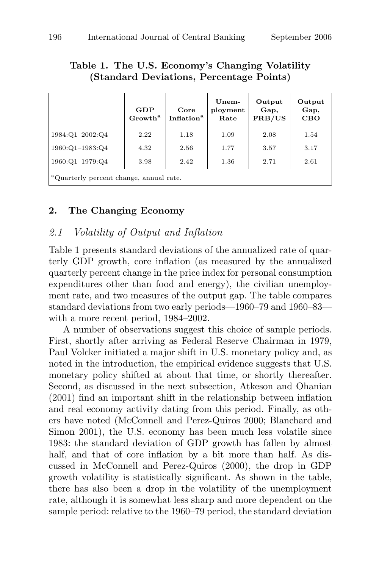| (Standard Deviations, Percentage Points) |                            |                                |                           |                          |                              |  |
|------------------------------------------|----------------------------|--------------------------------|---------------------------|--------------------------|------------------------------|--|
|                                          | GDP<br>Growth <sup>a</sup> | Core<br>Inflation <sup>a</sup> | Unem-<br>ployment<br>Rate | Output<br>Gap,<br>FRB/US | Output<br>Gap,<br><b>CBO</b> |  |
| 1984:Q1-2002:Q4                          | 2.22                       | 1.18                           | 1.09                      | 2.08                     | 1.54                         |  |
| 1960:Q1-1983:Q4                          | 4.32                       | 2.56                           | 1.77                      | 3.57                     | 3.17                         |  |
| 1960:Q1-1979:Q4                          | 3.98                       | 2.42                           | 1.36                      | 2.71                     | 2.61                         |  |

# Table 1. The U.S. Economy's Changing Volatility

<sup>a</sup>Quarterly percent change, annual rate.

#### 2. The Changing Economy

#### 2.1 Volatility of Output and Inflation

Table 1 presents standard deviations of the annualized rate of quarterly GDP growth, core inflation (as measured by the annualized quarterly percent change in the price index for personal consumption expenditures other than food and energy), the civilian unemployment rate, and two measures of the output gap. The table compares standard deviations from two early periods—1960–79 and 1960–83 with a more recent period, 1984–2002.

A number of observations suggest this choice of sample periods. First, shortly after arriving as Federal Reserve Chairman in 1979, Paul Volcker initiated a major shift in U.S. monetary policy and, as noted in the introduction, the empirical evidence suggests that U.S. monetary policy shifted at about that time, or shortly thereafter. Second, as discussed in the next subsection, Atkeson and Ohanian (2001) find an important shift in the relationship between inflation and real economy activity dating from this period. Finally, as others have noted (McConnell and Perez-Quiros 2000; Blanchard and Simon 2001), the U.S. economy has been much less volatile since 1983: the standard deviation of GDP growth has fallen by almost half, and that of core inflation by a bit more than half. As discussed in McConnell and Perez-Quiros (2000), the drop in GDP growth volatility is statistically significant. As shown in the table, there has also been a drop in the volatility of the unemployment rate, although it is somewhat less sharp and more dependent on the sample period: relative to the 1960–79 period, the standard deviation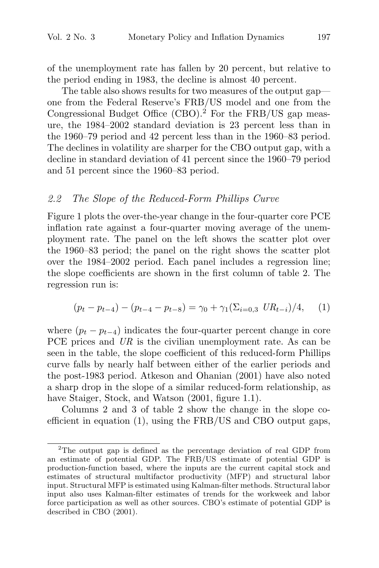of the unemployment rate has fallen by 20 percent, but relative to the period ending in 1983, the decline is almost 40 percent.

The table also shows results for two measures of the output gap one from the Federal Reserve's FRB/US model and one from the Congressional Budget Office  $(CBO)$ .<sup>2</sup> For the FRB/US gap measure, the 1984–2002 standard deviation is 23 percent less than in the 1960–79 period and 42 percent less than in the 1960–83 period. The declines in volatility are sharper for the CBO output gap, with a decline in standard deviation of 41 percent since the 1960–79 period and 51 percent since the 1960–83 period.

#### 2.2 The Slope of the Reduced-Form Phillips Curve

Figure 1 plots the over-the-year change in the four-quarter core PCE inflation rate against a four-quarter moving average of the unemployment rate. The panel on the left shows the scatter plot over the 1960–83 period; the panel on the right shows the scatter plot over the 1984–2002 period. Each panel includes a regression line; the slope coefficients are shown in the first column of table 2. The regression run is:

$$
(p_t - p_{t-4}) - (p_{t-4} - p_{t-8}) = \gamma_0 + \gamma_1(\Sigma_{i=0,3} \; UR_{t-i})/4,\tag{1}
$$

where  $(p_t - p_{t-4})$  indicates the four-quarter percent change in core PCE prices and UR is the civilian unemployment rate. As can be seen in the table, the slope coefficient of this reduced-form Phillips curve falls by nearly half between either of the earlier periods and the post-1983 period. Atkeson and Ohanian (2001) have also noted a sharp drop in the slope of a similar reduced-form relationship, as have Staiger, Stock, and Watson  $(2001, \text{ figure } 1.1)$ .

Columns 2 and 3 of table 2 show the change in the slope coefficient in equation (1), using the FRB/US and CBO output gaps,

<sup>2</sup>The output gap is defined as the percentage deviation of real GDP from an estimate of potential GDP. The FRB/US estimate of potential GDP is production-function based, where the inputs are the current capital stock and estimates of structural multifactor productivity (MFP) and structural labor input. Structural MFP is estimated using Kalman-filter methods. Structural labor input also uses Kalman-filter estimates of trends for the workweek and labor force participation as well as other sources. CBO's estimate of potential GDP is described in CBO (2001).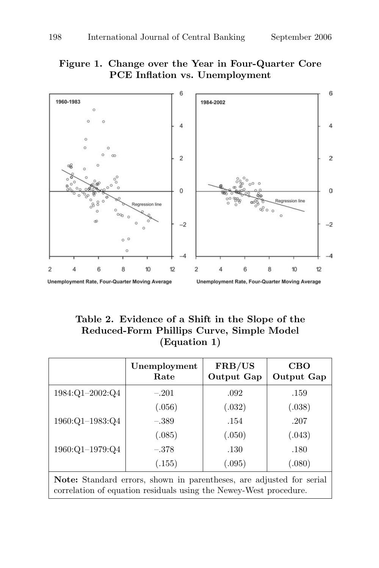## Figure 1. Change over the Year in Four-Quarter Core PCE Inflation vs. Unemployment



## Table 2. Evidence of a Shift in the Slope of the Reduced-Form Phillips Curve, Simple Model (Equation 1)

|                                                                   | Unemployment<br>Rate | FRB/US<br>Output Gap | <b>CBO</b><br><b>Output Gap</b> |  |  |
|-------------------------------------------------------------------|----------------------|----------------------|---------------------------------|--|--|
| 1984:Q1-2002:Q4                                                   | $-.201$              | .092                 | .159                            |  |  |
|                                                                   | (.056)               | (.032)               | (.038)                          |  |  |
| 1960:Q1-1983:Q4                                                   | $-.389$              | .154                 | .207                            |  |  |
|                                                                   | (.085)               | (.050)               | (.043)                          |  |  |
| 1960:Q1-1979:Q4                                                   | $-.378$              | .130                 | .180                            |  |  |
|                                                                   | (.155)               | (.095)               | (.080)                          |  |  |
| Note: Standard emerg shown in parentheses are adjusted for semial |                      |                      |                                 |  |  |

Note: Standard errors, shown in parentheses, are adjusted for serial correlation of equation residuals using the Newey-West procedure.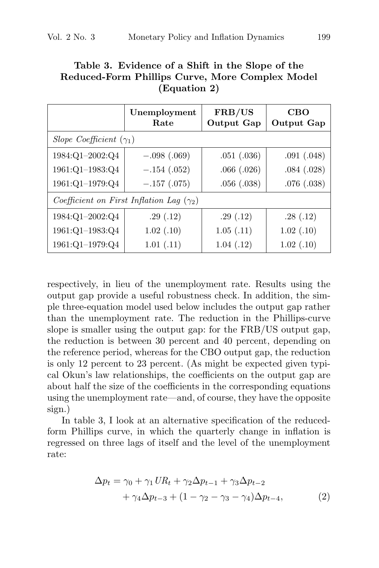## Table 3. Evidence of a Shift in the Slope of the Reduced-Form Phillips Curve, More Complex Model (Equation 2)

|                                | Unemployment<br>Rate                            | FRB/US<br>Output Gap | <b>CBO</b><br>Output Gap |
|--------------------------------|-------------------------------------------------|----------------------|--------------------------|
| Slope Coefficient $(\gamma_1)$ |                                                 |                      |                          |
| 1984:Q1-2002:Q4                | $-.098(.069)$                                   | .051(.036)           | .091(.048)               |
| $1961:Q1-1983:Q4$              | $-.154(.052)$                                   | .066(.026)           | .084(.028)               |
| 1961:Q1-1979:Q4                | $-.157(.075)$                                   | .056(.038)           | .076(.038)               |
|                                | Coefficient on First Inflation Lag $(\gamma_2)$ |                      |                          |
| 1984:Q1-2002:Q4                | .29(.12)                                        | .29(.12)             | .28(.12)                 |
| 1961:Q1-1983:Q4                | 1.02(0.10)                                      | 1.05(0.11)           | 1.02(0.10)               |
| 1961:Q1-1979:Q4                | 1.01(0.11)                                      | 1.04(0.12)           | 1.02(0.10)               |

respectively, in lieu of the unemployment rate. Results using the output gap provide a useful robustness check. In addition, the simple three-equation model used below includes the output gap rather than the unemployment rate. The reduction in the Phillips-curve slope is smaller using the output gap: for the FRB/US output gap, the reduction is between 30 percent and 40 percent, depending on the reference period, whereas for the CBO output gap, the reduction is only 12 percent to 23 percent. (As might be expected given typical Okun's law relationships, the coefficients on the output gap are about half the size of the coefficients in the corresponding equations using the unemployment rate—and, of course, they have the opposite sign.)

In table 3, I look at an alternative specification of the reducedform Phillips curve, in which the quarterly change in inflation is regressed on three lags of itself and the level of the unemployment rate:

$$
\Delta p_t = \gamma_0 + \gamma_1 U R_t + \gamma_2 \Delta p_{t-1} + \gamma_3 \Delta p_{t-2}
$$
  
+ 
$$
\gamma_4 \Delta p_{t-3} + (1 - \gamma_2 - \gamma_3 - \gamma_4) \Delta p_{t-4},
$$
 (2)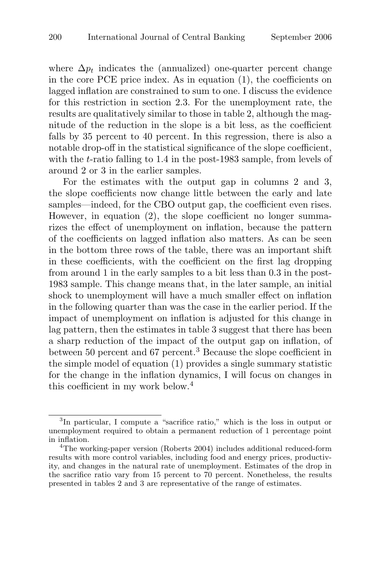where  $\Delta p_t$  indicates the (annualized) one-quarter percent change in the core PCE price index. As in equation (1), the coefficients on lagged inflation are constrained to sum to one. I discuss the evidence for this restriction in section 2.3. For the unemployment rate, the results are qualitatively similar to those in table 2, although the magnitude of the reduction in the slope is a bit less, as the coefficient falls by 35 percent to 40 percent. In this regression, there is also a notable drop-off in the statistical significance of the slope coefficient, with the *t*-ratio falling to 1.4 in the post-1983 sample, from levels of around 2 or 3 in the earlier samples.

For the estimates with the output gap in columns 2 and 3, the slope coefficients now change little between the early and late samples—indeed, for the CBO output gap, the coefficient even rises. However, in equation (2), the slope coefficient no longer summarizes the effect of unemployment on inflation, because the pattern of the coefficients on lagged inflation also matters. As can be seen in the bottom three rows of the table, there was an important shift in these coefficients, with the coefficient on the first lag dropping from around 1 in the early samples to a bit less than 0.3 in the post-1983 sample. This change means that, in the later sample, an initial shock to unemployment will have a much smaller effect on inflation in the following quarter than was the case in the earlier period. If the impact of unemployment on inflation is adjusted for this change in lag pattern, then the estimates in table 3 suggest that there has been a sharp reduction of the impact of the output gap on inflation, of between 50 percent and 67 percent.<sup>3</sup> Because the slope coefficient in the simple model of equation (1) provides a single summary statistic for the change in the inflation dynamics, I will focus on changes in this coefficient in my work below.<sup>4</sup>

<sup>3</sup> In particular, I compute a "sacrifice ratio," which is the loss in output or unemployment required to obtain a permanent reduction of 1 percentage point in inflation.

<sup>4</sup>The working-paper version (Roberts 2004) includes additional reduced-form results with more control variables, including food and energy prices, productivity, and changes in the natural rate of unemployment. Estimates of the drop in the sacrifice ratio vary from 15 percent to 70 percent. Nonetheless, the results presented in tables 2 and 3 are representative of the range of estimates.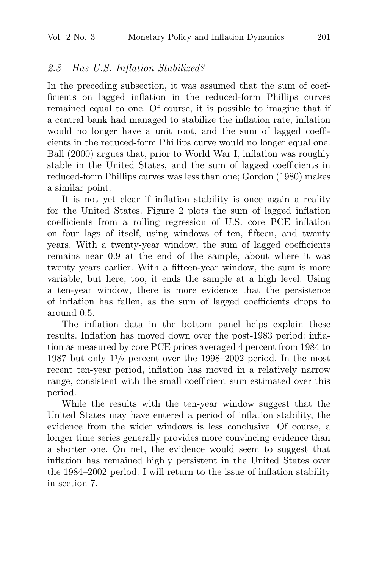## 2.3 Has U.S. Inflation Stabilized?

In the preceding subsection, it was assumed that the sum of coefficients on lagged inflation in the reduced-form Phillips curves remained equal to one. Of course, it is possible to imagine that if a central bank had managed to stabilize the inflation rate, inflation would no longer have a unit root, and the sum of lagged coefficients in the reduced-form Phillips curve would no longer equal one. Ball (2000) argues that, prior to World War I, inflation was roughly stable in the United States, and the sum of lagged coefficients in reduced-form Phillips curves was less than one; Gordon (1980) makes a similar point.

It is not yet clear if inflation stability is once again a reality for the United States. Figure 2 plots the sum of lagged inflation coefficients from a rolling regression of U.S. core PCE inflation on four lags of itself, using windows of ten, fifteen, and twenty years. With a twenty-year window, the sum of lagged coefficients remains near 0.9 at the end of the sample, about where it was twenty years earlier. With a fifteen-year window, the sum is more variable, but here, too, it ends the sample at a high level. Using a ten-year window, there is more evidence that the persistence of inflation has fallen, as the sum of lagged coefficients drops to around 0.5.

The inflation data in the bottom panel helps explain these results. Inflation has moved down over the post-1983 period: inflation as measured by core PCE prices averaged 4 percent from 1984 to 1987 but only  $1\frac{1}{2}$  percent over the 1998–2002 period. In the most recent ten-year period, inflation has moved in a relatively narrow range, consistent with the small coefficient sum estimated over this period.

While the results with the ten-year window suggest that the United States may have entered a period of inflation stability, the evidence from the wider windows is less conclusive. Of course, a longer time series generally provides more convincing evidence than a shorter one. On net, the evidence would seem to suggest that inflation has remained highly persistent in the United States over the 1984–2002 period. I will return to the issue of inflation stability in section 7.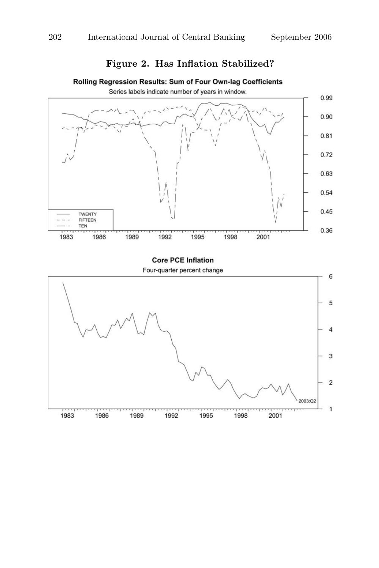## Figure 2. Has Inflation Stabilized?



#### Rolling Regression Results: Sum of Four Own-lag Coefficients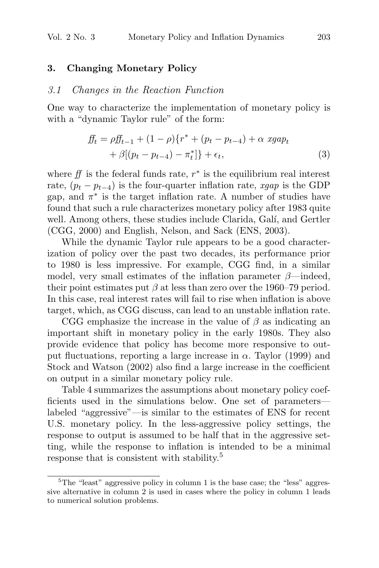#### 3. Changing Monetary Policy

#### 3.1 Changes in the Reaction Function

One way to characterize the implementation of monetary policy is with a "dynamic Taylor rule" of the form:

$$
ff_t = \rho ff_{t-1} + (1 - \rho)\{r^* + (p_t - p_{t-4}) + \alpha \ xgap_t + \beta[(p_t - p_{t-4}) - \pi_t^*]\} + \epsilon_t,
$$
\n(3)

where  $f\!f$  is the federal funds rate,  $r^*$  is the equilibrium real interest rate,  $(p_t - p_{t-4})$  is the four-quarter inflation rate, xgap is the GDP gap, and  $\pi^*$  is the target inflation rate. A number of studies have found that such a rule characterizes monetary policy after 1983 quite well. Among others, these studies include Clarida, Galí, and Gertler (CGG, 2000) and English, Nelson, and Sack (ENS, 2003).

While the dynamic Taylor rule appears to be a good characterization of policy over the past two decades, its performance prior to 1980 is less impressive. For example, CGG find, in a similar model, very small estimates of the inflation parameter  $\beta$ —indeed, their point estimates put  $\beta$  at less than zero over the 1960–79 period. In this case, real interest rates will fail to rise when inflation is above target, which, as CGG discuss, can lead to an unstable inflation rate.

CGG emphasize the increase in the value of  $\beta$  as indicating an important shift in monetary policy in the early 1980s. They also provide evidence that policy has become more responsive to output fluctuations, reporting a large increase in  $\alpha$ . Taylor (1999) and Stock and Watson (2002) also find a large increase in the coefficient on output in a similar monetary policy rule.

Table 4 summarizes the assumptions about monetary policy coefficients used in the simulations below. One set of parameters labeled "aggressive"—is similar to the estimates of ENS for recent U.S. monetary policy. In the less-aggressive policy settings, the response to output is assumed to be half that in the aggressive setting, while the response to inflation is intended to be a minimal response that is consistent with stability.<sup>5</sup>

<sup>&</sup>lt;sup>5</sup>The "least" aggressive policy in column 1 is the base case; the "less" aggressive alternative in column 2 is used in cases where the policy in column 1 leads to numerical solution problems.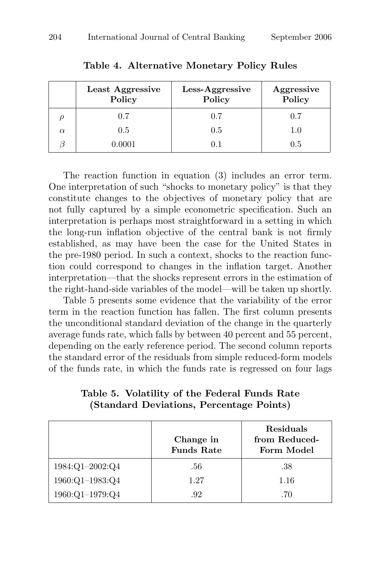|          | Least Aggressive<br>Policy | Less-Aggressive<br>Policy | Aggressive<br>Policy |
|----------|----------------------------|---------------------------|----------------------|
|          | 0.7                        | 0.7                       | 0.7                  |
| $\alpha$ | 0.5                        | 0.5                       | 1.0                  |
|          | 0.0001                     | 0.1                       | 0.5                  |

Table 4. Alternative Monetary Policy Rules

The reaction function in equation (3) includes an error term. One interpretation of such "shocks to monetary policy" is that they constitute changes to the objectives of monetary policy that are not fully captured by a simple econometric specification. Such an interpretation is perhaps most straightforward in a setting in which the long-run inflation objective of the central bank is not firmly established, as may have been the case for the United States in the pre-1980 period. In such a context, shocks to the reaction function could correspond to changes in the inflation target. Another interpretation—that the shocks represent errors in the estimation of the right-hand-side variables of the model—will be taken up shortly.

Table 5 presents some evidence that the variability of the error term in the reaction function has fallen. The first column presents the unconditional standard deviation of the change in the quarterly average funds rate, which falls by between 40 percent and 55 percent, depending on the early reference period. The second column reports the standard error of the residuals from simple reduced-form models of the funds rate, in which the funds rate is regressed on four lags

|                   | Change in<br><b>Funds Rate</b> | Residuals<br>from Reduced-<br>Form Model |
|-------------------|--------------------------------|------------------------------------------|
| $1984:Q1-2002:Q4$ | .56                            | .38                                      |
| 1960:Q1-1983:Q4   | 1.27                           | 1.16                                     |
| 1960:Q1-1979:Q4   | .92                            | .70                                      |

Table 5. Volatility of the Federal Funds Rate (Standard Deviations, Percentage Points)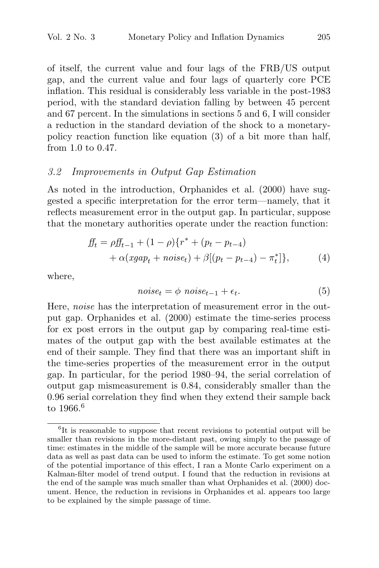of itself, the current value and four lags of the FRB/US output gap, and the current value and four lags of quarterly core PCE inflation. This residual is considerably less variable in the post-1983 period, with the standard deviation falling by between 45 percent and 67 percent. In the simulations in sections 5 and 6, I will consider a reduction in the standard deviation of the shock to a monetarypolicy reaction function like equation (3) of a bit more than half, from 1.0 to 0.47.

## 3.2 Improvements in Output Gap Estimation

As noted in the introduction, Orphanides et al. (2000) have suggested a specific interpretation for the error term—namely, that it reflects measurement error in the output gap. In particular, suppose that the monetary authorities operate under the reaction function:

$$
ff_t = \rho ff_{t-1} + (1 - \rho)\{r^* + (p_t - p_{t-4})
$$
  
+  $\alpha(xgap_t + noise_t) + \beta[(p_t - p_{t-4}) - \pi_t^*]\},$  (4)

where,

$$
noise_t = \phi \ noise_{t-1} + \epsilon_t. \tag{5}
$$

Here, *noise* has the interpretation of measurement error in the output gap. Orphanides et al. (2000) estimate the time-series process for ex post errors in the output gap by comparing real-time estimates of the output gap with the best available estimates at the end of their sample. They find that there was an important shift in the time-series properties of the measurement error in the output gap. In particular, for the period 1980–94, the serial correlation of output gap mismeasurement is 0.84, considerably smaller than the 0.96 serial correlation they find when they extend their sample back to 1966.<sup>6</sup>

<sup>&</sup>lt;sup>6</sup>It is reasonable to suppose that recent revisions to potential output will be smaller than revisions in the more-distant past, owing simply to the passage of time: estimates in the middle of the sample will be more accurate because future data as well as past data can be used to inform the estimate. To get some notion of the potential importance of this effect, I ran a Monte Carlo experiment on a Kalman-filter model of trend output. I found that the reduction in revisions at the end of the sample was much smaller than what Orphanides et al. (2000) document. Hence, the reduction in revisions in Orphanides et al. appears too large to be explained by the simple passage of time.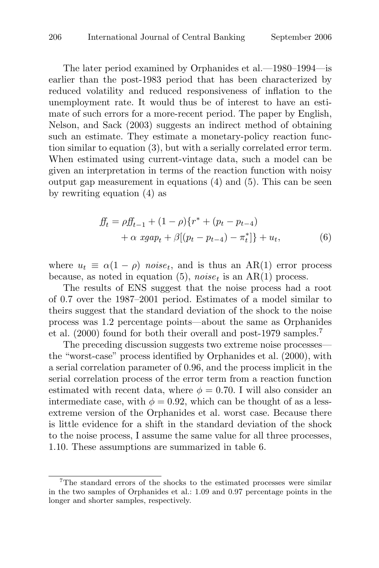The later period examined by Orphanides et al.—1980–1994—is earlier than the post-1983 period that has been characterized by reduced volatility and reduced responsiveness of inflation to the unemployment rate. It would thus be of interest to have an estimate of such errors for a more-recent period. The paper by English, Nelson, and Sack (2003) suggests an indirect method of obtaining such an estimate. They estimate a monetary-policy reaction function similar to equation (3), but with a serially correlated error term. When estimated using current-vintage data, such a model can be given an interpretation in terms of the reaction function with noisy output gap measurement in equations (4) and (5). This can be seen by rewriting equation (4) as

$$
ff_t = \rho ff_{t-1} + (1 - \rho)\{r^* + (p_t - p_{t-4})
$$
  
+  $\alpha \, xgap_t + \beta[(p_t - p_{t-4}) - \pi_t^*]\} + u_t,$  (6)

where  $u_t \equiv \alpha(1-\rho)$  noise<sub>t</sub>, and is thus an AR(1) error process because, as noted in equation (5),  $noise_t$  is an AR(1) process.

The results of ENS suggest that the noise process had a root of 0.7 over the 1987–2001 period. Estimates of a model similar to theirs suggest that the standard deviation of the shock to the noise process was 1.2 percentage points—about the same as Orphanides et al. (2000) found for both their overall and post-1979 samples.<sup>7</sup>

The preceding discussion suggests two extreme noise processes the "worst-case" process identified by Orphanides et al. (2000), with a serial correlation parameter of 0.96, and the process implicit in the serial correlation process of the error term from a reaction function estimated with recent data, where  $\phi = 0.70$ . I will also consider an intermediate case, with  $\phi = 0.92$ , which can be thought of as a lessextreme version of the Orphanides et al. worst case. Because there is little evidence for a shift in the standard deviation of the shock to the noise process, I assume the same value for all three processes, 1.10. These assumptions are summarized in table 6.

<sup>&</sup>lt;sup>7</sup>The standard errors of the shocks to the estimated processes were similar in the two samples of Orphanides et al.: 1.09 and 0.97 percentage points in the longer and shorter samples, respectively.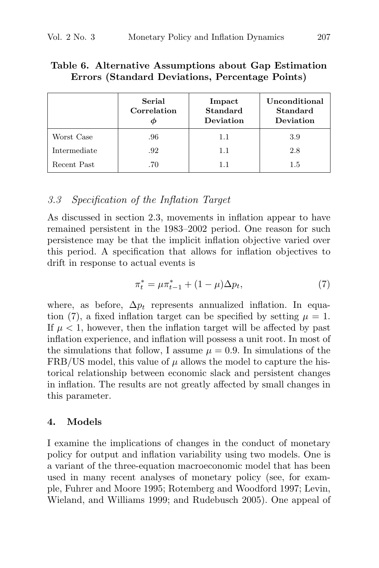|              | Serial<br>Correlation<br>Φ | Impact<br><b>Standard</b><br>Deviation | Unconditional<br>Standard<br>Deviation |
|--------------|----------------------------|----------------------------------------|----------------------------------------|
| Worst Case   | .96                        | 1.1                                    | 3.9                                    |
| Intermediate | .92                        | 1.1                                    | 2.8                                    |
| Recent Past  | .70                        | 1.1                                    | 1.5                                    |

#### Table 6. Alternative Assumptions about Gap Estimation Errors (Standard Deviations, Percentage Points)

## 3.3 Specification of the Inflation Target

As discussed in section 2.3, movements in inflation appear to have remained persistent in the 1983–2002 period. One reason for such persistence may be that the implicit inflation objective varied over this period. A specification that allows for inflation objectives to drift in response to actual events is

$$
\pi_t^* = \mu \pi_{t-1}^* + (1 - \mu) \Delta p_t,\tag{7}
$$

where, as before,  $\Delta p_t$  represents annualized inflation. In equation (7), a fixed inflation target can be specified by setting  $\mu = 1$ . If  $\mu$  < 1, however, then the inflation target will be affected by past inflation experience, and inflation will possess a unit root. In most of the simulations that follow, I assume  $\mu = 0.9$ . In simulations of the FRB/US model, this value of  $\mu$  allows the model to capture the historical relationship between economic slack and persistent changes in inflation. The results are not greatly affected by small changes in this parameter.

#### 4. Models

I examine the implications of changes in the conduct of monetary policy for output and inflation variability using two models. One is a variant of the three-equation macroeconomic model that has been used in many recent analyses of monetary policy (see, for example, Fuhrer and Moore 1995; Rotemberg and Woodford 1997; Levin, Wieland, and Williams 1999; and Rudebusch 2005). One appeal of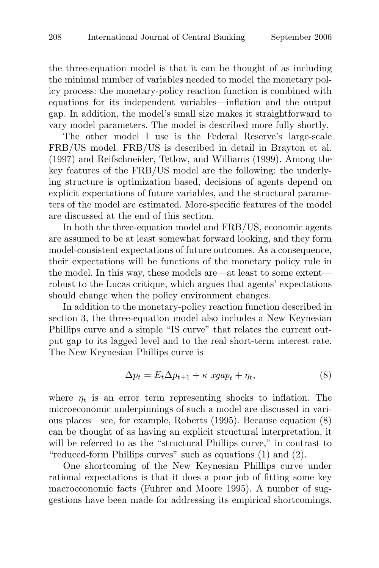the three-equation model is that it can be thought of as including the minimal number of variables needed to model the monetary policy process: the monetary-policy reaction function is combined with equations for its independent variables—inflation and the output gap. In addition, the model's small size makes it straightforward to vary model parameters. The model is described more fully shortly.

The other model I use is the Federal Reserve's large-scale FRB/US model. FRB/US is described in detail in Brayton et al. (1997) and Reifschneider, Tetlow, and Williams (1999). Among the key features of the FRB/US model are the following: the underlying structure is optimization based, decisions of agents depend on explicit expectations of future variables, and the structural parameters of the model are estimated. More-specific features of the model are discussed at the end of this section.

In both the three-equation model and FRB/US, economic agents are assumed to be at least somewhat forward looking, and they form model-consistent expectations of future outcomes. As a consequence, their expectations will be functions of the monetary policy rule in the model. In this way, these models are—at least to some extent robust to the Lucas critique, which argues that agents' expectations should change when the policy environment changes.

In addition to the monetary-policy reaction function described in section 3, the three-equation model also includes a New Keynesian Phillips curve and a simple "IS curve" that relates the current output gap to its lagged level and to the real short-term interest rate. The New Keynesian Phillips curve is

$$
\Delta p_t = E_t \Delta p_{t+1} + \kappa \ xgap_t + \eta_t,\tag{8}
$$

where  $\eta_t$  is an error term representing shocks to inflation. The microeconomic underpinnings of such a model are discussed in various places—see, for example, Roberts (1995). Because equation (8) can be thought of as having an explicit structural interpretation, it will be referred to as the "structural Phillips curve," in contrast to "reduced-form Phillips curves" such as equations (1) and (2).

One shortcoming of the New Keynesian Phillips curve under rational expectations is that it does a poor job of fitting some key macroeconomic facts (Fuhrer and Moore 1995). A number of suggestions have been made for addressing its empirical shortcomings.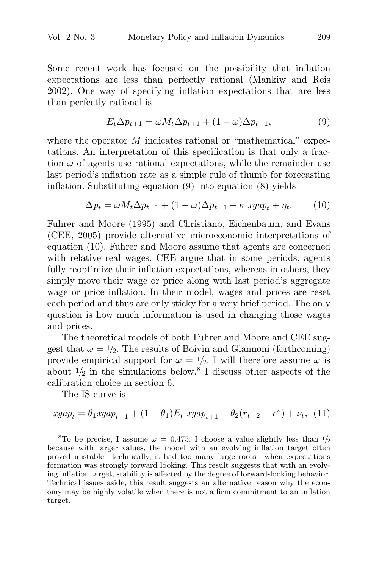Some recent work has focused on the possibility that inflation expectations are less than perfectly rational (Mankiw and Reis 2002). One way of specifying inflation expectations that are less than perfectly rational is

$$
E_t \Delta p_{t+1} = \omega M_t \Delta p_{t+1} + (1 - \omega) \Delta p_{t-1},\tag{9}
$$

where the operator M indicates rational or "mathematical" expectations. An interpretation of this specification is that only a fraction  $\omega$  of agents use rational expectations, while the remainder use last period's inflation rate as a simple rule of thumb for forecasting inflation. Substituting equation (9) into equation (8) yields

$$
\Delta p_t = \omega M_t \Delta p_{t+1} + (1 - \omega) \Delta p_{t-1} + \kappa \ xgap_t + \eta_t. \tag{10}
$$

Fuhrer and Moore (1995) and Christiano, Eichenbaum, and Evans (CEE, 2005) provide alternative microeconomic interpretations of equation (10). Fuhrer and Moore assume that agents are concerned with relative real wages. CEE argue that in some periods, agents fully reoptimize their inflation expectations, whereas in others, they simply move their wage or price along with last period's aggregate wage or price inflation. In their model, wages and prices are reset each period and thus are only sticky for a very brief period. The only question is how much information is used in changing those wages and prices.

The theoretical models of both Fuhrer and Moore and CEE suggest that  $\omega = 1/2$ . The results of Boivin and Giannoni (forthcoming) provide empirical support for  $\omega = 1/2$ . I will therefore assume  $\omega$  is about  $\frac{1}{2}$  in the simulations below.<sup>8</sup> I discuss other aspects of the calibration choice in section 6.

The IS curve is

$$
xgap_t = \theta_1 xgap_{t-1} + (1 - \theta_1)E_t xgap_{t+1} - \theta_2(r_{t-2} - r^*) + \nu_t, (11)
$$

<sup>&</sup>lt;sup>8</sup>To be precise, I assume  $\omega = 0.475$ . I choose a value slightly less than  $\frac{1}{2}$ because with larger values, the model with an evolving inflation target often proved unstable—technically, it had too many large roots—when expectations formation was strongly forward looking. This result suggests that with an evolving inflation target, stability is affected by the degree of forward-looking behavior. Technical issues aside, this result suggests an alternative reason why the economy may be highly volatile when there is not a firm commitment to an inflation target.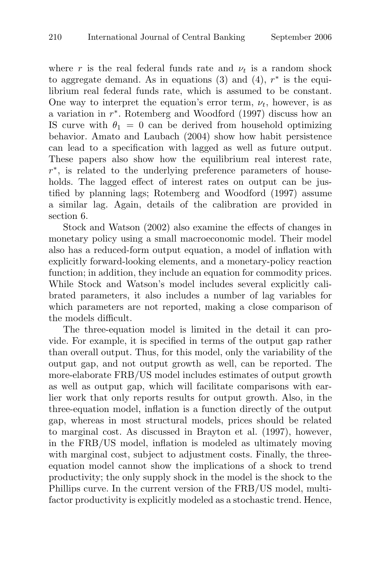where r is the real federal funds rate and  $\nu_t$  is a random shock to aggregate demand. As in equations (3) and (4),  $r^*$  is the equilibrium real federal funds rate, which is assumed to be constant. One way to interpret the equation's error term,  $\nu_t$ , however, is as a variation in  $r^*$ . Rotemberg and Woodford (1997) discuss how an IS curve with  $\theta_1 = 0$  can be derived from household optimizing behavior. Amato and Laubach (2004) show how habit persistence can lead to a specification with lagged as well as future output. These papers also show how the equilibrium real interest rate, r ∗ , is related to the underlying preference parameters of households. The lagged effect of interest rates on output can be justified by planning lags; Rotemberg and Woodford (1997) assume a similar lag. Again, details of the calibration are provided in section 6.

Stock and Watson (2002) also examine the effects of changes in monetary policy using a small macroeconomic model. Their model also has a reduced-form output equation, a model of inflation with explicitly forward-looking elements, and a monetary-policy reaction function; in addition, they include an equation for commodity prices. While Stock and Watson's model includes several explicitly calibrated parameters, it also includes a number of lag variables for which parameters are not reported, making a close comparison of the models difficult.

The three-equation model is limited in the detail it can provide. For example, it is specified in terms of the output gap rather than overall output. Thus, for this model, only the variability of the output gap, and not output growth as well, can be reported. The more-elaborate FRB/US model includes estimates of output growth as well as output gap, which will facilitate comparisons with earlier work that only reports results for output growth. Also, in the three-equation model, inflation is a function directly of the output gap, whereas in most structural models, prices should be related to marginal cost. As discussed in Brayton et al. (1997), however, in the FRB/US model, inflation is modeled as ultimately moving with marginal cost, subject to adjustment costs. Finally, the threeequation model cannot show the implications of a shock to trend productivity; the only supply shock in the model is the shock to the Phillips curve. In the current version of the FRB/US model, multifactor productivity is explicitly modeled as a stochastic trend. Hence,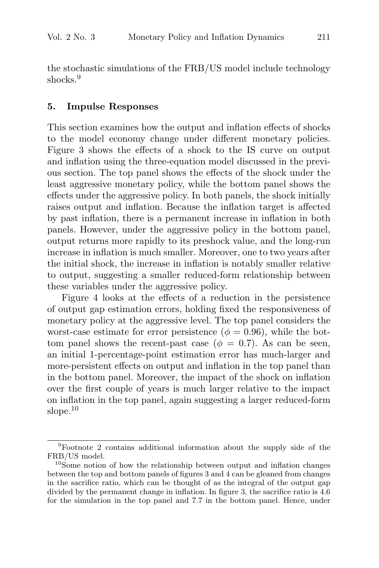the stochastic simulations of the FRB/US model include technology shocks.<sup>9</sup>

#### 5. Impulse Responses

This section examines how the output and inflation effects of shocks to the model economy change under different monetary policies. Figure 3 shows the effects of a shock to the IS curve on output and inflation using the three-equation model discussed in the previous section. The top panel shows the effects of the shock under the least aggressive monetary policy, while the bottom panel shows the effects under the aggressive policy. In both panels, the shock initially raises output and inflation. Because the inflation target is affected by past inflation, there is a permanent increase in inflation in both panels. However, under the aggressive policy in the bottom panel, output returns more rapidly to its preshock value, and the long-run increase in inflation is much smaller. Moreover, one to two years after the initial shock, the increase in inflation is notably smaller relative to output, suggesting a smaller reduced-form relationship between these variables under the aggressive policy.

Figure 4 looks at the effects of a reduction in the persistence of output gap estimation errors, holding fixed the responsiveness of monetary policy at the aggressive level. The top panel considers the worst-case estimate for error persistence ( $\phi = 0.96$ ), while the bottom panel shows the recent-past case ( $\phi = 0.7$ ). As can be seen, an initial 1-percentage-point estimation error has much-larger and more-persistent effects on output and inflation in the top panel than in the bottom panel. Moreover, the impact of the shock on inflation over the first couple of years is much larger relative to the impact on inflation in the top panel, again suggesting a larger reduced-form slope.<sup>10</sup>

<sup>9</sup>Footnote 2 contains additional information about the supply side of the FRB/US model.

 $10$ Some notion of how the relationship between output and inflation changes between the top and bottom panels of figures 3 and 4 can be gleaned from changes in the sacrifice ratio, which can be thought of as the integral of the output gap divided by the permanent change in inflation. In figure 3, the sacrifice ratio is 4.6 for the simulation in the top panel and 7.7 in the bottom panel. Hence, under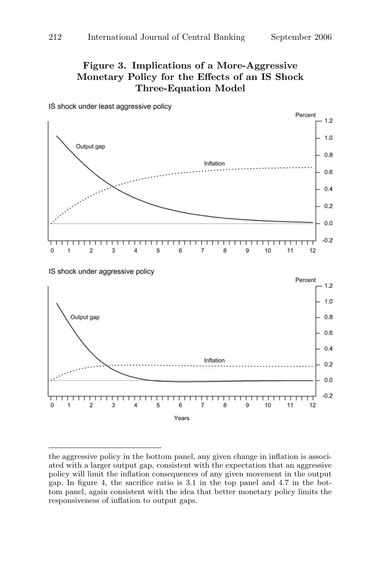## Figure 3. Implications of a More-Aggressive Monetary Policy for the Effects of an IS Shock Three-Equation Model



IS shock under least aggressive policy

the aggressive policy in the bottom panel, any given change in inflation is associated with a larger output gap, consistent with the expectation that an aggressive policy will limit the inflation consequences of any given movement in the output gap. In figure 4, the sacrifice ratio is 3.1 in the top panel and 4.7 in the bottom panel, again consistent with the idea that better monetary policy limits the responsiveness of inflation to output gaps.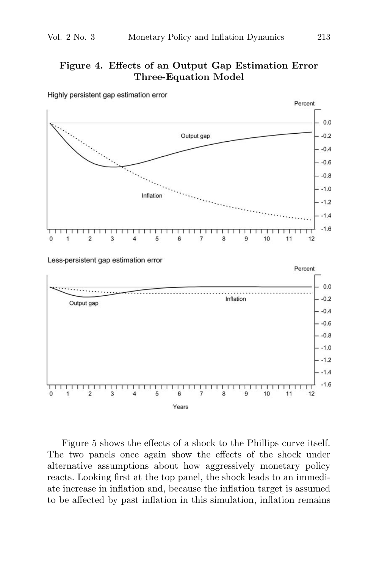## Figure 4. Effects of an Output Gap Estimation Error Three-Equation Model



Highly persistent gap estimation error

Figure 5 shows the effects of a shock to the Phillips curve itself. The two panels once again show the effects of the shock under alternative assumptions about how aggressively monetary policy reacts. Looking first at the top panel, the shock leads to an immediate increase in inflation and, because the inflation target is assumed to be affected by past inflation in this simulation, inflation remains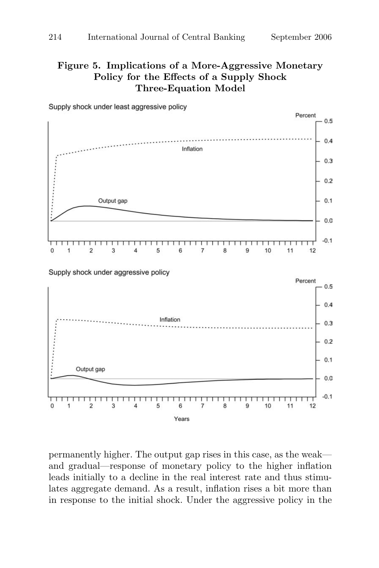## Figure 5. Implications of a More-Aggressive Monetary Policy for the Effects of a Supply Shock Three-Equation Model



Supply shock under least aggressive policy

permanently higher. The output gap rises in this case, as the weak and gradual—response of monetary policy to the higher inflation leads initially to a decline in the real interest rate and thus stimulates aggregate demand. As a result, inflation rises a bit more than in response to the initial shock. Under the aggressive policy in the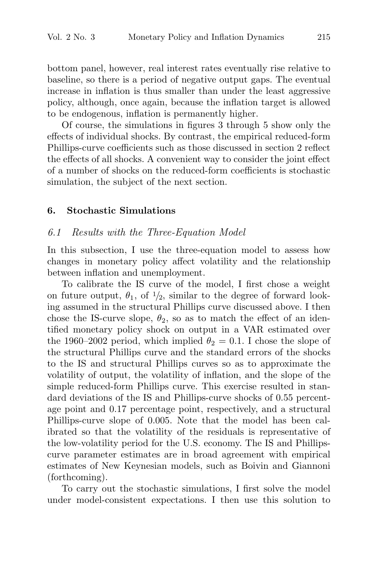bottom panel, however, real interest rates eventually rise relative to baseline, so there is a period of negative output gaps. The eventual increase in inflation is thus smaller than under the least aggressive policy, although, once again, because the inflation target is allowed to be endogenous, inflation is permanently higher.

Of course, the simulations in figures 3 through 5 show only the effects of individual shocks. By contrast, the empirical reduced-form Phillips-curve coefficients such as those discussed in section 2 reflect the effects of all shocks. A convenient way to consider the joint effect of a number of shocks on the reduced-form coefficients is stochastic simulation, the subject of the next section.

#### 6. Stochastic Simulations

#### 6.1 Results with the Three-Equation Model

In this subsection, I use the three-equation model to assess how changes in monetary policy affect volatility and the relationship between inflation and unemployment.

To calibrate the IS curve of the model, I first chose a weight on future output,  $\theta_1$ , of  $\frac{1}{2}$ , similar to the degree of forward looking assumed in the structural Phillips curve discussed above. I then chose the IS-curve slope,  $\theta_2$ , so as to match the effect of an identified monetary policy shock on output in a VAR estimated over the 1960–2002 period, which implied  $\theta_2 = 0.1$ . I chose the slope of the structural Phillips curve and the standard errors of the shocks to the IS and structural Phillips curves so as to approximate the volatility of output, the volatility of inflation, and the slope of the simple reduced-form Phillips curve. This exercise resulted in standard deviations of the IS and Phillips-curve shocks of 0.55 percentage point and 0.17 percentage point, respectively, and a structural Phillips-curve slope of 0.005. Note that the model has been calibrated so that the volatility of the residuals is representative of the low-volatility period for the U.S. economy. The IS and Phillipscurve parameter estimates are in broad agreement with empirical estimates of New Keynesian models, such as Boivin and Giannoni (forthcoming).

To carry out the stochastic simulations, I first solve the model under model-consistent expectations. I then use this solution to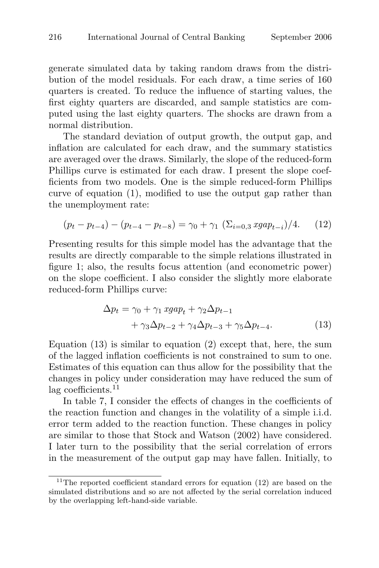generate simulated data by taking random draws from the distribution of the model residuals. For each draw, a time series of 160 quarters is created. To reduce the influence of starting values, the first eighty quarters are discarded, and sample statistics are computed using the last eighty quarters. The shocks are drawn from a normal distribution.

The standard deviation of output growth, the output gap, and inflation are calculated for each draw, and the summary statistics are averaged over the draws. Similarly, the slope of the reduced-form Phillips curve is estimated for each draw. I present the slope coefficients from two models. One is the simple reduced-form Phillips curve of equation (1), modified to use the output gap rather than the unemployment rate:

$$
(p_t - p_{t-4}) - (p_{t-4} - p_{t-8}) = \gamma_0 + \gamma_1 \left( \sum_{i=0,3} \text{sga} p_{t-i} \right) / 4. \tag{12}
$$

Presenting results for this simple model has the advantage that the results are directly comparable to the simple relations illustrated in figure 1; also, the results focus attention (and econometric power) on the slope coefficient. I also consider the slightly more elaborate reduced-form Phillips curve:

$$
\Delta p_t = \gamma_0 + \gamma_1 \ xgap_t + \gamma_2 \Delta p_{t-1} + \gamma_3 \Delta p_{t-2} + \gamma_4 \Delta p_{t-3} + \gamma_5 \Delta p_{t-4}.
$$
 (13)

Equation  $(13)$  is similar to equation  $(2)$  except that, here, the sum of the lagged inflation coefficients is not constrained to sum to one. Estimates of this equation can thus allow for the possibility that the changes in policy under consideration may have reduced the sum of lag coefficients.<sup>11</sup>

In table 7, I consider the effects of changes in the coefficients of the reaction function and changes in the volatility of a simple i.i.d. error term added to the reaction function. These changes in policy are similar to those that Stock and Watson (2002) have considered. I later turn to the possibility that the serial correlation of errors in the measurement of the output gap may have fallen. Initially, to

 $11$ <sup>11</sup>The reported coefficient standard errors for equation (12) are based on the simulated distributions and so are not affected by the serial correlation induced by the overlapping left-hand-side variable.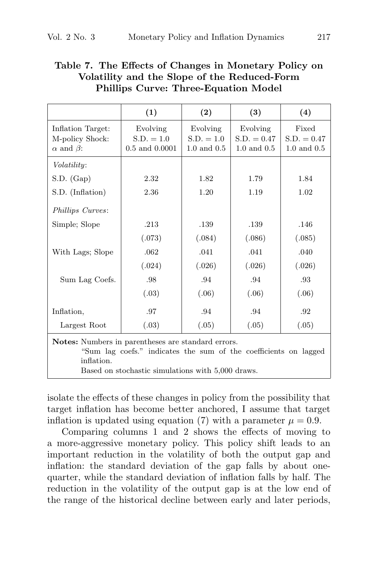|                                                                                                                                                                                           | (1)                                            | (2)                                         | (3)                                          | (4)                                       |
|-------------------------------------------------------------------------------------------------------------------------------------------------------------------------------------------|------------------------------------------------|---------------------------------------------|----------------------------------------------|-------------------------------------------|
| Inflation Target:<br>M-policy Shock:<br>$\alpha$ and $\beta$ :                                                                                                                            | Evolving<br>$S.D. = 1.0$<br>$0.5$ and $0.0001$ | Evolving<br>$S.D. = 1.0$<br>$1.0$ and $0.5$ | Evolving<br>$S.D. = 0.47$<br>$1.0$ and $0.5$ | Fixed<br>$S.D. = 0.47$<br>$1.0$ and $0.5$ |
| <i>Volatility:</i>                                                                                                                                                                        |                                                |                                             |                                              |                                           |
| $S.D.$ $(Gap)$                                                                                                                                                                            | 2.32                                           | 1.82                                        | 1.79                                         | 1.84                                      |
| S.D. (Inflation)                                                                                                                                                                          | 2.36                                           | 1.20                                        | 1.19                                         | 1.02                                      |
| Phillips Curves:                                                                                                                                                                          |                                                |                                             |                                              |                                           |
| Simple; Slope                                                                                                                                                                             | .213                                           | .139                                        | .139                                         | .146                                      |
|                                                                                                                                                                                           | (.073)                                         | (.084)                                      | (.086)                                       | (.085)                                    |
| With Lags; Slope                                                                                                                                                                          | .062                                           | .041                                        | .041                                         | .040                                      |
|                                                                                                                                                                                           | (.024)                                         | (.026)                                      | (.026)                                       | (.026)                                    |
| Sum Lag Coefs.                                                                                                                                                                            | .98                                            | .94                                         | .94                                          | .93                                       |
|                                                                                                                                                                                           | (.03)                                          | (.06)                                       | (.06)                                        | (.06)                                     |
| Inflation,                                                                                                                                                                                | .97                                            | .94                                         | .94                                          | .92                                       |
| Largest Root                                                                                                                                                                              | (.03)                                          | (.05)                                       | (.05)                                        | (.05)                                     |
| Notes: Numbers in parentheses are standard errors.<br>"Sum lag coefs." indicates the sum of the coefficients on lagged<br>inflation.<br>Based on stochastic simulations with 5,000 draws. |                                                |                                             |                                              |                                           |

## Table 7. The Effects of Changes in Monetary Policy on Volatility and the Slope of the Reduced-Form Phillips Curve: Three-Equation Model

isolate the effects of these changes in policy from the possibility that target inflation has become better anchored, I assume that target inflation is updated using equation (7) with a parameter  $\mu = 0.9$ .

Comparing columns 1 and 2 shows the effects of moving to a more-aggressive monetary policy. This policy shift leads to an important reduction in the volatility of both the output gap and inflation: the standard deviation of the gap falls by about onequarter, while the standard deviation of inflation falls by half. The reduction in the volatility of the output gap is at the low end of the range of the historical decline between early and later periods,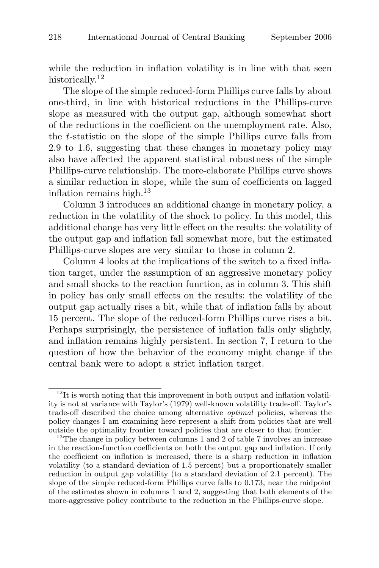while the reduction in inflation volatility is in line with that seen historically.<sup>12</sup>

The slope of the simple reduced-form Phillips curve falls by about one-third, in line with historical reductions in the Phillips-curve slope as measured with the output gap, although somewhat short of the reductions in the coefficient on the unemployment rate. Also, the t-statistic on the slope of the simple Phillips curve falls from 2.9 to 1.6, suggesting that these changes in monetary policy may also have affected the apparent statistical robustness of the simple Phillips-curve relationship. The more-elaborate Phillips curve shows a similar reduction in slope, while the sum of coefficients on lagged inflation remains high.<sup>13</sup>

Column 3 introduces an additional change in monetary policy, a reduction in the volatility of the shock to policy. In this model, this additional change has very little effect on the results: the volatility of the output gap and inflation fall somewhat more, but the estimated Phillips-curve slopes are very similar to those in column 2.

Column 4 looks at the implications of the switch to a fixed inflation target, under the assumption of an aggressive monetary policy and small shocks to the reaction function, as in column 3. This shift in policy has only small effects on the results: the volatility of the output gap actually rises a bit, while that of inflation falls by about 15 percent. The slope of the reduced-form Phillips curve rises a bit. Perhaps surprisingly, the persistence of inflation falls only slightly, and inflation remains highly persistent. In section 7, I return to the question of how the behavior of the economy might change if the central bank were to adopt a strict inflation target.

 $12$ It is worth noting that this improvement in both output and inflation volatility is not at variance with Taylor's (1979) well-known volatility trade-off. Taylor's trade-off described the choice among alternative optimal policies, whereas the policy changes I am examining here represent a shift from policies that are well outside the optimality frontier toward policies that are closer to that frontier.

 $13$ The change in policy between columns 1 and 2 of table 7 involves an increase in the reaction-function coefficients on both the output gap and inflation. If only the coefficient on inflation is increased, there is a sharp reduction in inflation volatility (to a standard deviation of 1.5 percent) but a proportionately smaller reduction in output gap volatility (to a standard deviation of 2.1 percent). The slope of the simple reduced-form Phillips curve falls to 0.173, near the midpoint of the estimates shown in columns 1 and 2, suggesting that both elements of the more-aggressive policy contribute to the reduction in the Phillips-curve slope.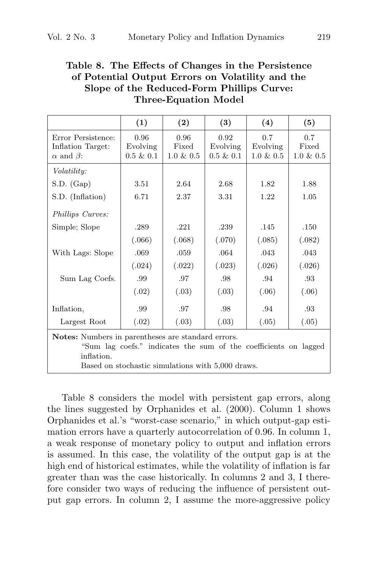## Table 8. The Effects of Changes in the Persistence of Potential Output Errors on Volatility and the Slope of the Reduced-Form Phillips Curve: Three-Equation Model

|                                                                                                                                                                                           | (1)                              | (2)                           | (3)                              | (4)                             | (5)                          |
|-------------------------------------------------------------------------------------------------------------------------------------------------------------------------------------------|----------------------------------|-------------------------------|----------------------------------|---------------------------------|------------------------------|
| Error Persistence:<br>Inflation Target:<br>$\alpha$ and $\beta$ :                                                                                                                         | 0.96<br>Evolving<br>$0.5 \& 0.1$ | 0.96<br>Fixed<br>$1.0 \& 0.5$ | 0.92<br>Evolving<br>$0.5 \& 0.1$ | 0.7<br>Evolving<br>$1.0 \& 0.5$ | 0.7<br>Fixed<br>$1.0 \& 0.5$ |
| <i>Volatility:</i>                                                                                                                                                                        |                                  |                               |                                  |                                 |                              |
| $S.D.$ $(Gap)$                                                                                                                                                                            | 3.51                             | 2.64                          | 2.68                             | 1.82                            | 1.88                         |
| S.D. (Inflation)                                                                                                                                                                          | 6.71                             | 2.37                          | 3.31                             | 1.22                            | 1.05                         |
| Phillips Curves:                                                                                                                                                                          |                                  |                               |                                  |                                 |                              |
| Simple; Slope                                                                                                                                                                             | .289                             | .221                          | .239                             | .145                            | .150                         |
|                                                                                                                                                                                           | (.066)                           | (.068)                        | (.070)                           | (.085)                          | (.082)                       |
| With Lags: Slope                                                                                                                                                                          | .069                             | .059                          | .064                             | .043                            | .043                         |
|                                                                                                                                                                                           | (.024)                           | (.022)                        | (.023)                           | (.026)                          | (.026)                       |
| Sum Lag Coefs.                                                                                                                                                                            | .99                              | .97                           | .98                              | .94                             | .93                          |
|                                                                                                                                                                                           | (.02)                            | (.03)                         | (.03)                            | (.06)                           | (.06)                        |
| Inflation,                                                                                                                                                                                | .99                              | .97                           | .98                              | .94                             | .93                          |
| Largest Root                                                                                                                                                                              | (.02)                            | (.03)                         | (.03)                            | (.05)                           | (.05)                        |
| Notes: Numbers in parentheses are standard errors.<br>"Sum lag coefs." indicates the sum of the coefficients on lagged<br>inflation.<br>Based on stochastic simulations with 5,000 draws. |                                  |                               |                                  |                                 |                              |

Table 8 considers the model with persistent gap errors, along the lines suggested by Orphanides et al. (2000). Column 1 shows Orphanides et al.'s "worst-case scenario," in which output-gap estimation errors have a quarterly autocorrelation of 0.96. In column 1, a weak response of monetary policy to output and inflation errors is assumed. In this case, the volatility of the output gap is at the high end of historical estimates, while the volatility of inflation is far greater than was the case historically. In columns 2 and 3, I therefore consider two ways of reducing the influence of persistent output gap errors. In column 2, I assume the more-aggressive policy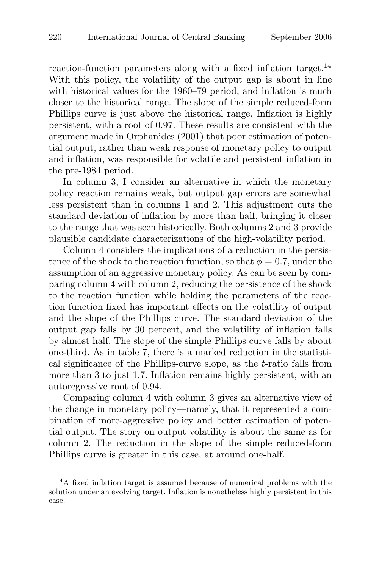reaction-function parameters along with a fixed inflation target.<sup>14</sup> With this policy, the volatility of the output gap is about in line with historical values for the 1960–79 period, and inflation is much closer to the historical range. The slope of the simple reduced-form Phillips curve is just above the historical range. Inflation is highly persistent, with a root of 0.97. These results are consistent with the argument made in Orphanides (2001) that poor estimation of potential output, rather than weak response of monetary policy to output and inflation, was responsible for volatile and persistent inflation in the pre-1984 period.

In column 3, I consider an alternative in which the monetary policy reaction remains weak, but output gap errors are somewhat less persistent than in columns 1 and 2. This adjustment cuts the standard deviation of inflation by more than half, bringing it closer to the range that was seen historically. Both columns 2 and 3 provide plausible candidate characterizations of the high-volatility period.

Column 4 considers the implications of a reduction in the persistence of the shock to the reaction function, so that  $\phi = 0.7$ , under the assumption of an aggressive monetary policy. As can be seen by comparing column 4 with column 2, reducing the persistence of the shock to the reaction function while holding the parameters of the reaction function fixed has important effects on the volatility of output and the slope of the Phillips curve. The standard deviation of the output gap falls by 30 percent, and the volatility of inflation falls by almost half. The slope of the simple Phillips curve falls by about one-third. As in table 7, there is a marked reduction in the statistical significance of the Phillips-curve slope, as the t-ratio falls from more than 3 to just 1.7. Inflation remains highly persistent, with an autoregressive root of 0.94.

Comparing column 4 with column 3 gives an alternative view of the change in monetary policy—namely, that it represented a combination of more-aggressive policy and better estimation of potential output. The story on output volatility is about the same as for column 2. The reduction in the slope of the simple reduced-form Phillips curve is greater in this case, at around one-half.

<sup>14</sup>A fixed inflation target is assumed because of numerical problems with the solution under an evolving target. Inflation is nonetheless highly persistent in this case.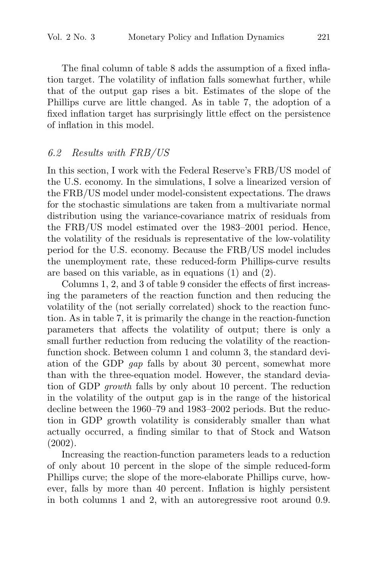The final column of table 8 adds the assumption of a fixed inflation target. The volatility of inflation falls somewhat further, while that of the output gap rises a bit. Estimates of the slope of the Phillips curve are little changed. As in table 7, the adoption of a fixed inflation target has surprisingly little effect on the persistence of inflation in this model.

#### 6.2 Results with FRB/US

In this section, I work with the Federal Reserve's FRB/US model of the U.S. economy. In the simulations, I solve a linearized version of the FRB/US model under model-consistent expectations. The draws for the stochastic simulations are taken from a multivariate normal distribution using the variance-covariance matrix of residuals from the FRB/US model estimated over the 1983–2001 period. Hence, the volatility of the residuals is representative of the low-volatility period for the U.S. economy. Because the FRB/US model includes the unemployment rate, these reduced-form Phillips-curve results are based on this variable, as in equations (1) and (2).

Columns 1, 2, and 3 of table 9 consider the effects of first increasing the parameters of the reaction function and then reducing the volatility of the (not serially correlated) shock to the reaction function. As in table 7, it is primarily the change in the reaction-function parameters that affects the volatility of output; there is only a small further reduction from reducing the volatility of the reactionfunction shock. Between column 1 and column 3, the standard deviation of the GDP gap falls by about 30 percent, somewhat more than with the three-equation model. However, the standard deviation of GDP growth falls by only about 10 percent. The reduction in the volatility of the output gap is in the range of the historical decline between the 1960–79 and 1983–2002 periods. But the reduction in GDP growth volatility is considerably smaller than what actually occurred, a finding similar to that of Stock and Watson (2002).

Increasing the reaction-function parameters leads to a reduction of only about 10 percent in the slope of the simple reduced-form Phillips curve; the slope of the more-elaborate Phillips curve, however, falls by more than 40 percent. Inflation is highly persistent in both columns 1 and 2, with an autoregressive root around 0.9.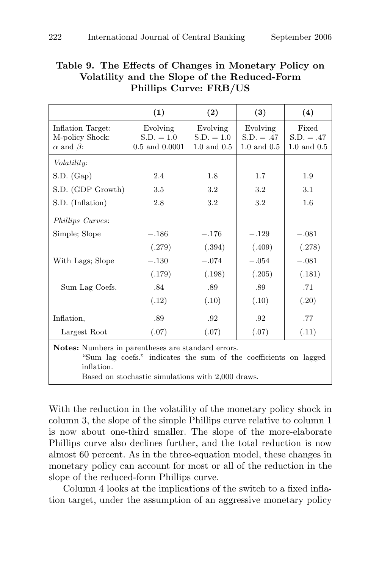|                                                                                                                                                                                                  | (1)                                            | (2)                                         | (3)                                         | (4)                                      |
|--------------------------------------------------------------------------------------------------------------------------------------------------------------------------------------------------|------------------------------------------------|---------------------------------------------|---------------------------------------------|------------------------------------------|
| Inflation Target:<br>M-policy Shock:<br>$\alpha$ and $\beta$ :                                                                                                                                   | Evolving<br>$S.D. = 1.0$<br>$0.5$ and $0.0001$ | Evolving<br>$S.D. = 1.0$<br>$1.0$ and $0.5$ | Evolving<br>$S.D. = .47$<br>$1.0$ and $0.5$ | Fixed<br>$S.D. = .47$<br>$1.0$ and $0.5$ |
| Volatility:                                                                                                                                                                                      |                                                |                                             |                                             |                                          |
| $S.D.$ $(Gap)$                                                                                                                                                                                   | 2.4                                            | 1.8                                         | 1.7                                         | 1.9                                      |
| S.D. (GDP Growth)                                                                                                                                                                                | 3.5                                            | 3.2                                         | 3.2                                         | 3.1                                      |
| S.D. (Inflation)                                                                                                                                                                                 | 2.8                                            | 3.2                                         | 3.2                                         | 1.6                                      |
| Phillips Curves:                                                                                                                                                                                 |                                                |                                             |                                             |                                          |
| Simple; Slope                                                                                                                                                                                    | $-.186$                                        | $-.176$                                     | $-.129$                                     | $-.081$                                  |
|                                                                                                                                                                                                  | (.279)                                         | (.394)                                      | (.409)                                      | (.278)                                   |
| With Lags; Slope                                                                                                                                                                                 | $-.130$                                        | $-.074$                                     | $-.054$                                     | $-.081$                                  |
|                                                                                                                                                                                                  | (.179)                                         | (.198)                                      | (.205)                                      | (.181)                                   |
| Sum Lag Coefs.                                                                                                                                                                                   | .84                                            | .89                                         | .89                                         | .71                                      |
|                                                                                                                                                                                                  | (.12)                                          | (.10)                                       | (.10)                                       | (.20)                                    |
| Inflation,                                                                                                                                                                                       | .89                                            | .92                                         | .92                                         | .77                                      |
| Largest Root                                                                                                                                                                                     | (.07)                                          | (.07)                                       | (.07)                                       | (.11)                                    |
| <b>Notes:</b> Numbers in parentheses are standard errors.<br>"Sum lag coefs." indicates the sum of the coefficients on lagged<br>inflation.<br>Based on stochastic simulations with 2,000 draws. |                                                |                                             |                                             |                                          |

## Table 9. The Effects of Changes in Monetary Policy on Volatility and the Slope of the Reduced-Form Phillips Curve: FRB/US

With the reduction in the volatility of the monetary policy shock in column 3, the slope of the simple Phillips curve relative to column 1 is now about one-third smaller. The slope of the more-elaborate Phillips curve also declines further, and the total reduction is now almost 60 percent. As in the three-equation model, these changes in monetary policy can account for most or all of the reduction in the slope of the reduced-form Phillips curve.

Column 4 looks at the implications of the switch to a fixed inflation target, under the assumption of an aggressive monetary policy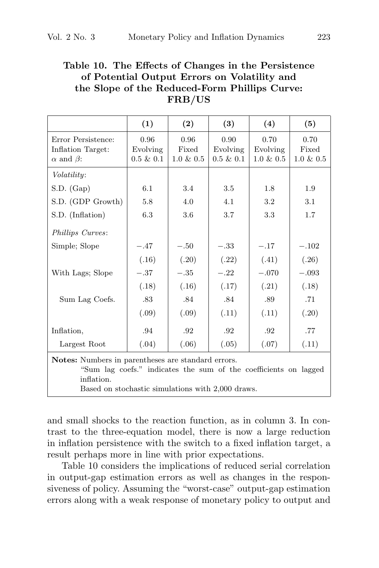### Table 10. The Effects of Changes in the Persistence of Potential Output Errors on Volatility and the Slope of the Reduced-Form Phillips Curve: FRB/US

|                                                                                                                                                                                                  | (1)                              | (2)                           | (3)                              | (4)                              | (5)                           |
|--------------------------------------------------------------------------------------------------------------------------------------------------------------------------------------------------|----------------------------------|-------------------------------|----------------------------------|----------------------------------|-------------------------------|
| Error Persistence:<br>Inflation Target:<br>$\alpha$ and $\beta$ :                                                                                                                                | 0.96<br>Evolving<br>$0.5 \& 0.1$ | 0.96<br>Fixed<br>$1.0 \& 0.5$ | 0.90<br>Evolving<br>$0.5 \& 0.1$ | 0.70<br>Evolving<br>$1.0 \& 0.5$ | 0.70<br>Fixed<br>$1.0 \& 0.5$ |
| Volatility:                                                                                                                                                                                      |                                  |                               |                                  |                                  |                               |
| $S.D.$ $(Gap)$                                                                                                                                                                                   | 6.1                              | 3.4                           | 3.5                              | 1.8                              | 1.9                           |
| S.D. (GDP Growth)                                                                                                                                                                                | 5.8                              | 4.0                           | 4.1                              | 3.2                              | 3.1                           |
| S.D. (Inflation)                                                                                                                                                                                 | 6.3                              | 3.6                           | 3.7                              | 3.3                              | 1.7                           |
| Phillips Curves:                                                                                                                                                                                 |                                  |                               |                                  |                                  |                               |
| Simple; Slope                                                                                                                                                                                    | $-.47$                           | $-.50$                        | $-.33$                           | $-.17$                           | $-.102$                       |
|                                                                                                                                                                                                  | (.16)                            | (.20)                         | (.22)                            | (.41)                            | (.26)                         |
| With Lags; Slope                                                                                                                                                                                 | $-.37$                           | $-.35\,$                      | $-.22$                           | $-.070$                          | $-.093$                       |
|                                                                                                                                                                                                  | (.18)                            | (.16)                         | (.17)                            | (.21)                            | (.18)                         |
| Sum Lag Coefs.                                                                                                                                                                                   | .83                              | .84                           | .84                              | .89                              | .71                           |
|                                                                                                                                                                                                  | (.09)                            | (.09)                         | (.11)                            | (.11)                            | (.20)                         |
| Inflation,                                                                                                                                                                                       | .94                              | .92                           | .92                              | .92                              | .77                           |
| Largest Root                                                                                                                                                                                     | (.04)                            | (.06)                         | (.05)                            | (.07)                            | (.11)                         |
| <b>Notes:</b> Numbers in parentheses are standard errors.<br>"Sum lag coefs." indicates the sum of the coefficients on lagged<br>inflation.<br>Based on stochastic simulations with 2,000 draws. |                                  |                               |                                  |                                  |                               |

and small shocks to the reaction function, as in column 3. In contrast to the three-equation model, there is now a large reduction in inflation persistence with the switch to a fixed inflation target, a result perhaps more in line with prior expectations.

Table 10 considers the implications of reduced serial correlation in output-gap estimation errors as well as changes in the responsiveness of policy. Assuming the "worst-case" output-gap estimation errors along with a weak response of monetary policy to output and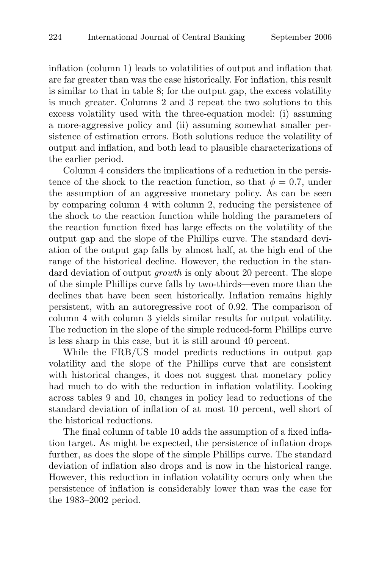inflation (column 1) leads to volatilities of output and inflation that are far greater than was the case historically. For inflation, this result is similar to that in table 8; for the output gap, the excess volatility is much greater. Columns 2 and 3 repeat the two solutions to this excess volatility used with the three-equation model: (i) assuming a more-aggressive policy and (ii) assuming somewhat smaller persistence of estimation errors. Both solutions reduce the volatility of output and inflation, and both lead to plausible characterizations of the earlier period.

Column 4 considers the implications of a reduction in the persistence of the shock to the reaction function, so that  $\phi = 0.7$ , under the assumption of an aggressive monetary policy. As can be seen by comparing column 4 with column 2, reducing the persistence of the shock to the reaction function while holding the parameters of the reaction function fixed has large effects on the volatility of the output gap and the slope of the Phillips curve. The standard deviation of the output gap falls by almost half, at the high end of the range of the historical decline. However, the reduction in the standard deviation of output *growth* is only about 20 percent. The slope of the simple Phillips curve falls by two-thirds—even more than the declines that have been seen historically. Inflation remains highly persistent, with an autoregressive root of 0.92. The comparison of column 4 with column 3 yields similar results for output volatility. The reduction in the slope of the simple reduced-form Phillips curve is less sharp in this case, but it is still around 40 percent.

While the FRB/US model predicts reductions in output gap volatility and the slope of the Phillips curve that are consistent with historical changes, it does not suggest that monetary policy had much to do with the reduction in inflation volatility. Looking across tables 9 and 10, changes in policy lead to reductions of the standard deviation of inflation of at most 10 percent, well short of the historical reductions.

The final column of table 10 adds the assumption of a fixed inflation target. As might be expected, the persistence of inflation drops further, as does the slope of the simple Phillips curve. The standard deviation of inflation also drops and is now in the historical range. However, this reduction in inflation volatility occurs only when the persistence of inflation is considerably lower than was the case for the 1983–2002 period.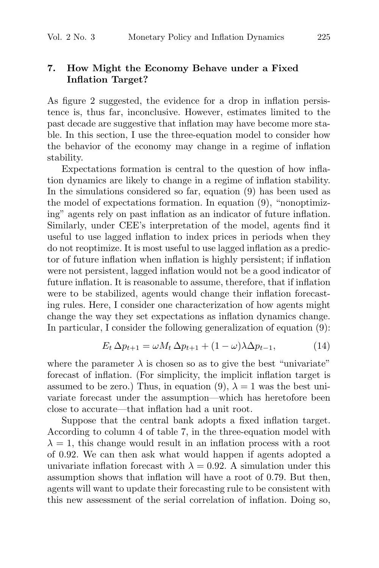### 7. How Might the Economy Behave under a Fixed Inflation Target?

As figure 2 suggested, the evidence for a drop in inflation persistence is, thus far, inconclusive. However, estimates limited to the past decade are suggestive that inflation may have become more stable. In this section, I use the three-equation model to consider how the behavior of the economy may change in a regime of inflation stability.

Expectations formation is central to the question of how inflation dynamics are likely to change in a regime of inflation stability. In the simulations considered so far, equation (9) has been used as the model of expectations formation. In equation (9), "nonoptimizing" agents rely on past inflation as an indicator of future inflation. Similarly, under CEE's interpretation of the model, agents find it useful to use lagged inflation to index prices in periods when they do not reoptimize. It is most useful to use lagged inflation as a predictor of future inflation when inflation is highly persistent; if inflation were not persistent, lagged inflation would not be a good indicator of future inflation. It is reasonable to assume, therefore, that if inflation were to be stabilized, agents would change their inflation forecasting rules. Here, I consider one characterization of how agents might change the way they set expectations as inflation dynamics change. In particular, I consider the following generalization of equation (9):

$$
E_t \Delta p_{t+1} = \omega M_t \Delta p_{t+1} + (1 - \omega) \lambda \Delta p_{t-1}, \tag{14}
$$

where the parameter  $\lambda$  is chosen so as to give the best "univariate" forecast of inflation. (For simplicity, the implicit inflation target is assumed to be zero.) Thus, in equation (9),  $\lambda = 1$  was the best univariate forecast under the assumption—which has heretofore been close to accurate—that inflation had a unit root.

Suppose that the central bank adopts a fixed inflation target. According to column 4 of table 7, in the three-equation model with  $\lambda = 1$ , this change would result in an inflation process with a root of 0.92. We can then ask what would happen if agents adopted a univariate inflation forecast with  $\lambda = 0.92$ . A simulation under this assumption shows that inflation will have a root of 0.79. But then, agents will want to update their forecasting rule to be consistent with this new assessment of the serial correlation of inflation. Doing so,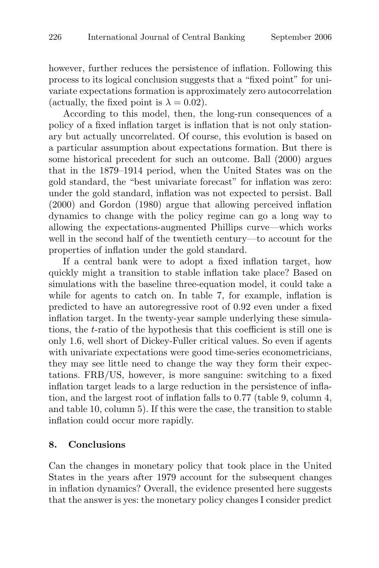however, further reduces the persistence of inflation. Following this process to its logical conclusion suggests that a "fixed point" for univariate expectations formation is approximately zero autocorrelation (actually, the fixed point is  $\lambda = 0.02$ ).

According to this model, then, the long-run consequences of a policy of a fixed inflation target is inflation that is not only stationary but actually uncorrelated. Of course, this evolution is based on a particular assumption about expectations formation. But there is some historical precedent for such an outcome. Ball (2000) argues that in the 1879–1914 period, when the United States was on the gold standard, the "best univariate forecast" for inflation was zero: under the gold standard, inflation was not expected to persist. Ball (2000) and Gordon (1980) argue that allowing perceived inflation dynamics to change with the policy regime can go a long way to allowing the expectations-augmented Phillips curve—which works well in the second half of the twentieth century—to account for the properties of inflation under the gold standard.

If a central bank were to adopt a fixed inflation target, how quickly might a transition to stable inflation take place? Based on simulations with the baseline three-equation model, it could take a while for agents to catch on. In table 7, for example, inflation is predicted to have an autoregressive root of 0.92 even under a fixed inflation target. In the twenty-year sample underlying these simulations, the t-ratio of the hypothesis that this coefficient is still one is only 1.6, well short of Dickey-Fuller critical values. So even if agents with univariate expectations were good time-series econometricians, they may see little need to change the way they form their expectations. FRB/US, however, is more sanguine: switching to a fixed inflation target leads to a large reduction in the persistence of inflation, and the largest root of inflation falls to 0.77 (table 9, column 4, and table 10, column 5). If this were the case, the transition to stable inflation could occur more rapidly.

#### 8. Conclusions

Can the changes in monetary policy that took place in the United States in the years after 1979 account for the subsequent changes in inflation dynamics? Overall, the evidence presented here suggests that the answer is yes: the monetary policy changes I consider predict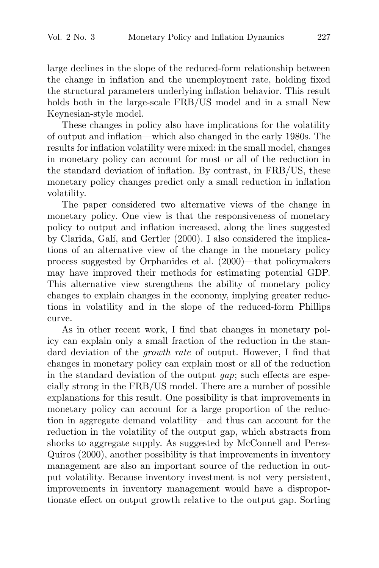large declines in the slope of the reduced-form relationship between the change in inflation and the unemployment rate, holding fixed the structural parameters underlying inflation behavior. This result holds both in the large-scale FRB/US model and in a small New Keynesian-style model.

These changes in policy also have implications for the volatility of output and inflation—which also changed in the early 1980s. The results for inflation volatility were mixed: in the small model, changes in monetary policy can account for most or all of the reduction in the standard deviation of inflation. By contrast, in FRB/US, these monetary policy changes predict only a small reduction in inflation volatility.

The paper considered two alternative views of the change in monetary policy. One view is that the responsiveness of monetary policy to output and inflation increased, along the lines suggested by Clarida, Galí, and Gertler (2000). I also considered the implications of an alternative view of the change in the monetary policy process suggested by Orphanides et al. (2000)—that policymakers may have improved their methods for estimating potential GDP. This alternative view strengthens the ability of monetary policy changes to explain changes in the economy, implying greater reductions in volatility and in the slope of the reduced-form Phillips curve.

As in other recent work, I find that changes in monetary policy can explain only a small fraction of the reduction in the standard deviation of the growth rate of output. However, I find that changes in monetary policy can explain most or all of the reduction in the standard deviation of the output gap; such effects are especially strong in the FRB/US model. There are a number of possible explanations for this result. One possibility is that improvements in monetary policy can account for a large proportion of the reduction in aggregate demand volatility—and thus can account for the reduction in the volatility of the output gap, which abstracts from shocks to aggregate supply. As suggested by McConnell and Perez-Quiros (2000), another possibility is that improvements in inventory management are also an important source of the reduction in output volatility. Because inventory investment is not very persistent, improvements in inventory management would have a disproportionate effect on output growth relative to the output gap. Sorting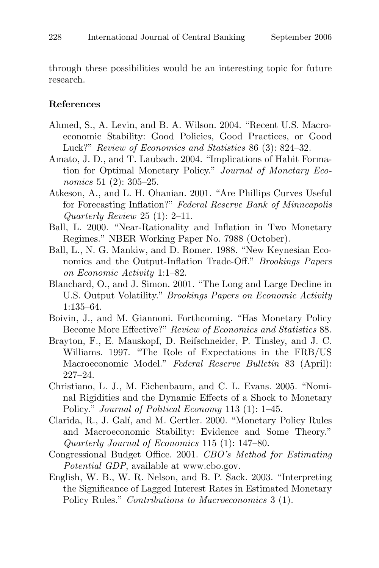through these possibilities would be an interesting topic for future research.

#### References

- Ahmed, S., A. Levin, and B. A. Wilson. 2004. "Recent U.S. Macroeconomic Stability: Good Policies, Good Practices, or Good Luck?" Review of Economics and Statistics 86 (3): 824–32.
- Amato, J. D., and T. Laubach. 2004. "Implications of Habit Formation for Optimal Monetary Policy." Journal of Monetary Economics 51 (2): 305–25.
- Atkeson, A., and L. H. Ohanian. 2001. "Are Phillips Curves Useful for Forecasting Inflation?" Federal Reserve Bank of Minneapolis Quarterly Review 25 (1): 2–11.
- Ball, L. 2000. "Near-Rationality and Inflation in Two Monetary Regimes." NBER Working Paper No. 7988 (October).
- Ball, L., N. G. Mankiw, and D. Romer. 1988. "New Keynesian Economics and the Output-Inflation Trade-Off." Brookings Papers on Economic Activity 1:1–82.
- Blanchard, O., and J. Simon. 2001. "The Long and Large Decline in U.S. Output Volatility." Brookings Papers on Economic Activity 1:135–64.
- Boivin, J., and M. Giannoni. Forthcoming. "Has Monetary Policy Become More Effective?" Review of Economics and Statistics 88.
- Brayton, F., E. Mauskopf, D. Reifschneider, P. Tinsley, and J. C. Williams. 1997. "The Role of Expectations in the FRB/US Macroeconomic Model." Federal Reserve Bulletin 83 (April): 227–24.
- Christiano, L. J., M. Eichenbaum, and C. L. Evans. 2005. "Nominal Rigidities and the Dynamic Effects of a Shock to Monetary Policy." *Journal of Political Economy* 113 (1): 1–45.
- Clarida, R., J. Galí, and M. Gertler. 2000. "Monetary Policy Rules and Macroeconomic Stability: Evidence and Some Theory." Quarterly Journal of Economics 115 (1): 147–80.
- Congressional Budget Office. 2001. CBO's Method for Estimating Potential GDP, available at www.cbo.gov.
- English, W. B., W. R. Nelson, and B. P. Sack. 2003. "Interpreting the Significance of Lagged Interest Rates in Estimated Monetary Policy Rules." Contributions to Macroeconomics 3 (1).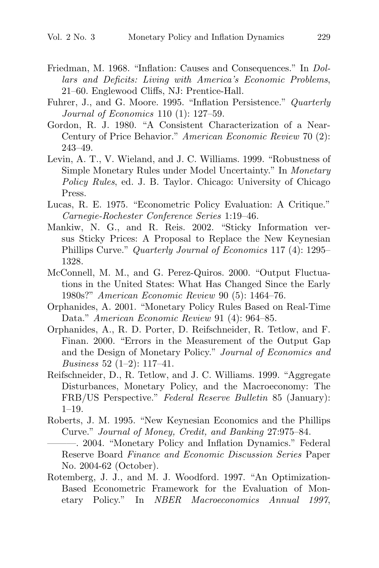- Friedman, M. 1968. "Inflation: Causes and Consequences." In Dollars and Deficits: Living with America's Economic Problems, 21–60. Englewood Cliffs, NJ: Prentice-Hall.
- Fuhrer, J., and G. Moore. 1995. "Inflation Persistence." Quarterly Journal of Economics 110 (1): 127–59.
- Gordon, R. J. 1980. "A Consistent Characterization of a Near-Century of Price Behavior." American Economic Review 70 (2): 243–49.
- Levin, A. T., V. Wieland, and J. C. Williams. 1999. "Robustness of Simple Monetary Rules under Model Uncertainty." In Monetary Policy Rules, ed. J. B. Taylor. Chicago: University of Chicago Press.
- Lucas, R. E. 1975. "Econometric Policy Evaluation: A Critique." Carnegie-Rochester Conference Series 1:19–46.
- Mankiw, N. G., and R. Reis. 2002. "Sticky Information versus Sticky Prices: A Proposal to Replace the New Keynesian Phillips Curve." Quarterly Journal of Economics 117 (4): 1295– 1328.
- McConnell, M. M., and G. Perez-Quiros. 2000. "Output Fluctuations in the United States: What Has Changed Since the Early 1980s?" American Economic Review 90 (5): 1464–76.
- Orphanides, A. 2001. "Monetary Policy Rules Based on Real-Time Data." American Economic Review 91 (4): 964–85.
- Orphanides, A., R. D. Porter, D. Reifschneider, R. Tetlow, and F. Finan. 2000. "Errors in the Measurement of the Output Gap and the Design of Monetary Policy." Journal of Economics and *Business* 52  $(1-2)$ : 117-41.
- Reifschneider, D., R. Tetlow, and J. C. Williams. 1999. "Aggregate Disturbances, Monetary Policy, and the Macroeconomy: The FRB/US Perspective." Federal Reserve Bulletin 85 (January): 1–19.
- Roberts, J. M. 1995. "New Keynesian Economics and the Phillips Curve." Journal of Money, Credit, and Banking 27:975–84.
	- ———. 2004. "Monetary Policy and Inflation Dynamics." Federal Reserve Board Finance and Economic Discussion Series Paper No. 2004-62 (October).
- Rotemberg, J. J., and M. J. Woodford. 1997. "An Optimization-Based Econometric Framework for the Evaluation of Monetary Policy." In NBER Macroeconomics Annual 1997,